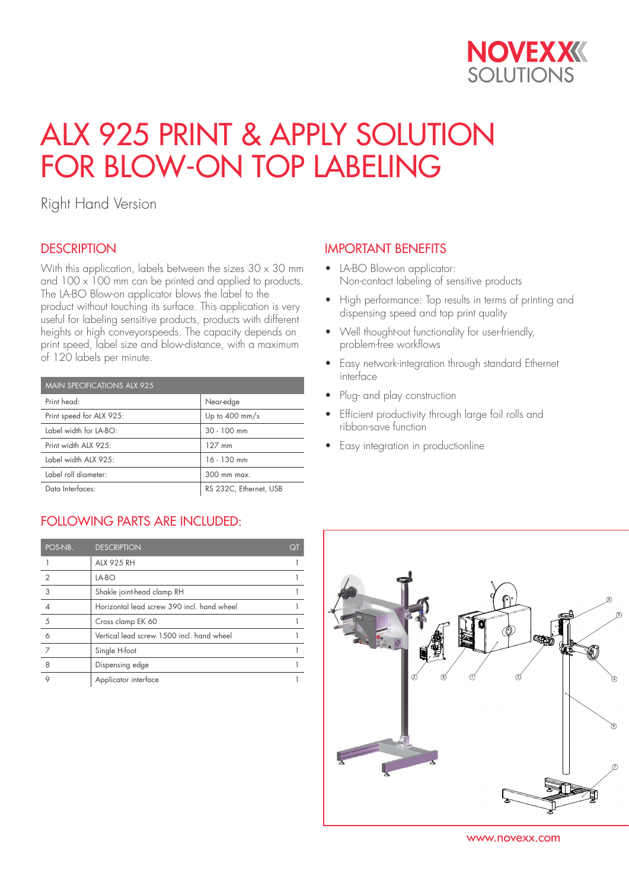

# ALX 925 PRINT & APPLY SOLUTION FOR BLOW-ON TOP LABELING

Right Hand Version

## **DESCRIPTION**

With this application, labels between the sizes  $30 \times 30$  mm and  $100 \times 100$  mm can be printed and applied to products. The LA-BO Blow-on applicator blows the label to the product without touching its surface. This application is very useful for labeling sensitive products, products with different heights or high conveyorspeeds. The capacity depends on print speed, label size and blow-distance, with a maximum of 120 labels per minute.

| <b>MAIN SPECIFICATIONS ALX 925</b> |                          |  |  |  |
|------------------------------------|--------------------------|--|--|--|
| Print head:                        | Near-edge                |  |  |  |
| Print speed for ALX 925:           | Up to $400 \text{ mm/s}$ |  |  |  |
| Label width for LA-BO:             | $30 - 100$ mm            |  |  |  |
| Print width ALX 925:               | 127 mm                   |  |  |  |
| Label width ALX 925:               | $16 - 130$ mm            |  |  |  |
| Label roll diameter:               | 300 mm max.              |  |  |  |
| Data Interfaces:                   | RS 232C, Ethernet, USB   |  |  |  |

## FOLLOWING PARTS ARE INCLUDED:

| POS-NB.       | <b>DESCRIPTION</b>                         | QT |
|---------------|--------------------------------------------|----|
|               | <b>ALX 925 RH</b>                          |    |
| $\mathcal{P}$ | LA-BO                                      |    |
| 3             | Shakle joint-head clamp RH                 |    |
|               | Horizontal lead screw 390 incl. hand wheel |    |
| 5             | Cross clamp EK 60                          |    |
| 6             | Vertical lead screw 1500 incl. hand wheel  |    |
| 7             | Single H-foot                              |    |
| 8             | Dispensing edge                            |    |
|               | Applicator interface                       |    |

## IMPORTANT BENEFITS

- LA-BO Blow-on applicator: Non-contact labeling of sensitive products
- High performance: Top results in terms of printing and dispensing speed and top print quality
- Well thought-out functionality for user-friendly, problem-free workflows
- Easy network-integration through standard Ethernet interface
- Plug- and play construction
- Efficient productivity through large foil rolls and ribbon-save function
- Easy integration in productionline



www.novexx.com